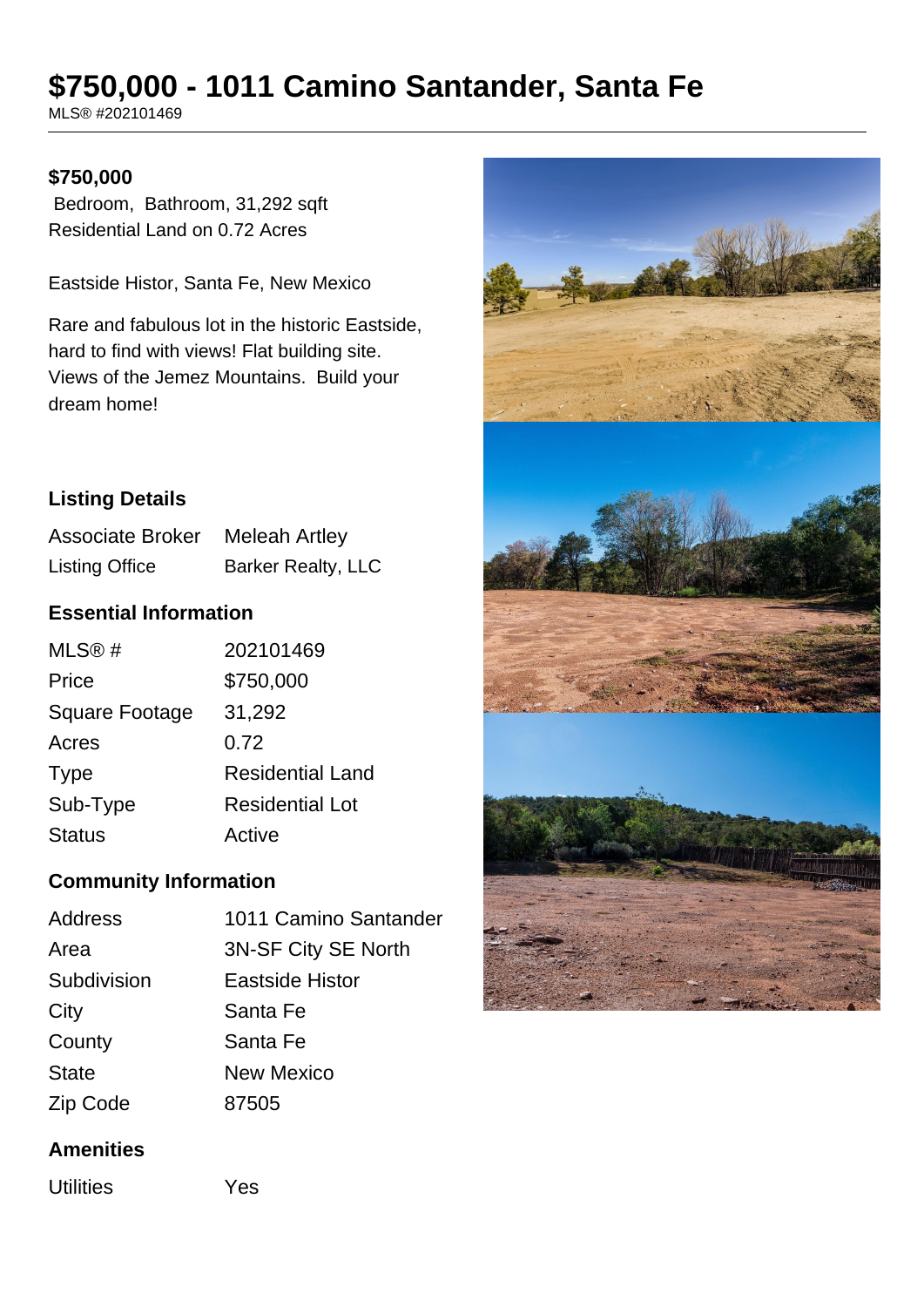# **\$750,000 - 1011 Camino Santander, Santa Fe**

MLS® #202101469

#### **\$750,000**

 Bedroom, Bathroom, 31,292 sqft Residential Land on 0.72 Acres

Eastside Histor, Santa Fe, New Mexico

Rare and fabulous lot in the historic Eastside, hard to find with views! Flat building site. Views of the Jemez Mountains. Build your dream home!

# **Listing Details**

Associate Broker Meleah Artley Listing Office Barker Realty, LLC

## **Essential Information**

| MLS@#                 | 202101469               |
|-----------------------|-------------------------|
| Price                 | \$750,000               |
| <b>Square Footage</b> | 31,292                  |
| Acres                 | 0.72                    |
| <b>Type</b>           | <b>Residential Land</b> |
| Sub-Type              | Residential Lot         |
| <b>Status</b>         | Active                  |

# **Community Information**

| Address      | 1011 Camino Santander |
|--------------|-----------------------|
| Area         | 3N-SF City SE North   |
| Subdivision  | Eastside Histor       |
| City         | Santa Fe              |
| County       | Santa Fe              |
| <b>State</b> | <b>New Mexico</b>     |
| Zip Code     | 87505                 |

# **Amenities**

Utilities Yes